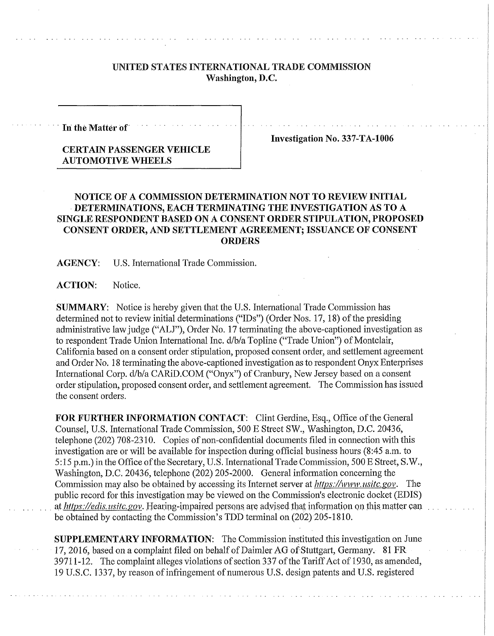## UNITED **STATES INTERNATIONAL** TRADE COMMISSION **Washington, D.C.**

**In the Matter of** 

**Investigation No. 337-TA-1006** 

## **CERTAIN PASSENGER VEHICLE AUTOMOTIVE WHEELS**

## **NOTICE OF A COMMISSION DETERMINATION NOT TO REVIEW INITIAL DETERMINATIONS, EACH TERMINATING THE INVESTIGATION AS TO A SINGLE RESPONDENT BASED ON A CONSENT ORDER STIPULATION, PROPOSED CONSENT ORDER, AND SETTLEMENT AGREEMENT; ISSUANCE OF CONSENT ORDERS**

**AGENCY:** U.S. International Trade Commission.

**ACTION:** Notice.

**SUMMARY:** Notice is hereby given that the U.S. International Trade Commission has determined not to review initial determinations ("IDs") (Order Nos. 17,18) of the presiding administrative law judge ("ALJ"), Order No. 17 terminating the above-captioned investigation as to respondent Trade Union International Inc. d/b/a Topline ("Trade Union") of Montclair, California based on a consent order stipulation, proposed consent order, and settlement agreement and Order No. 18 terminating the above-captioned investigation as to respondent Onyx Enterprises International Corp. d/b/a CARiD.COM ("Onyx") of Cranbury, New Jersey based on a consent order stipulation, proposed consent order, and settlement agreement. The Commission has issued the consent orders.

**FOR FURTHER INFORMATION CONTACT:** Clint Gerdine, Esq., Office of the General Counsel, U.S. International Trade Commission, 500 E Street SW., Washington, D.C. 20436, telephone (202) 708-2310. Copies of non-confidential documents filed in connection with this investigation are or will be available for inspection during official business hours (8:45 a.m. to 5:15 p.m.) in the Office ofthe Secretary, U.S. International Trade Commission, 500 E Street, S.W., Washington, D.C. 20436, telephone (202) 205-2000. General information concerning the Commission may also be obtained by accessing its Internet server at *https://www.usitc.gov.* The public record for this investigation may be viewed on the Commission's electronic docket (EDIS) at *https://edis. usitc.gov.* Hearing-impaired persons are advised that information on this matter can be obtained by contacting the Commission's TDD terminal on (202) 205-1810.

**SUPPLEMENTARY INFORMATION:** The Commission instituted this investigation on June 17, 2016, based on a complaint filed on behalf of Daimler AG of Stuttgart, Germany. 81 FR 39711-12. The complaint alleges violations of section 337 of the Tariff Act of 1930, as amended, 19 U.S.C. 1337, by reason of infringement of numerous U.S. design patents and U.S. registered